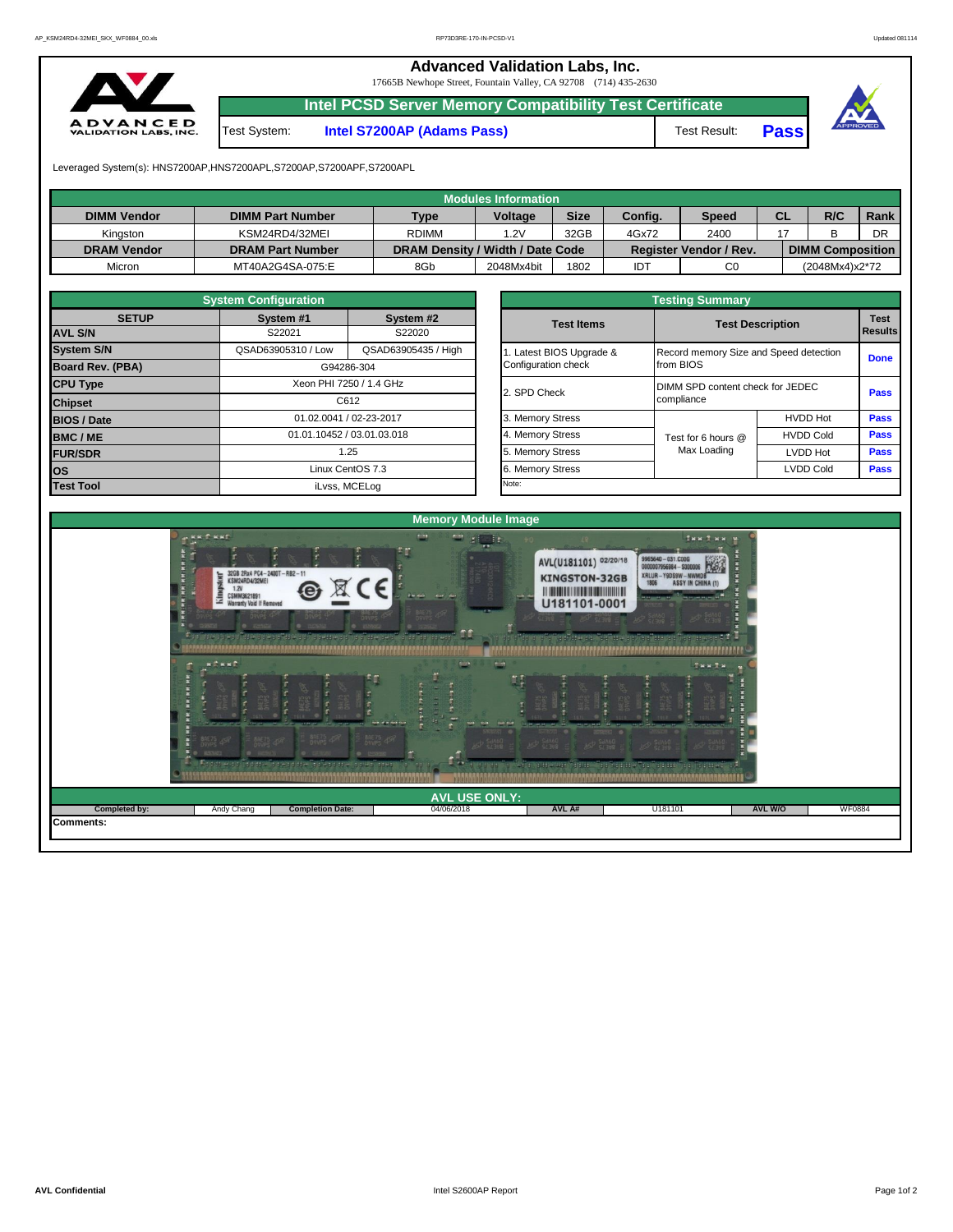**Advanced Validation Labs, Inc.**  17665B Newhope Street, Fountain Valley, CA 92708 (714) 435-2630



**Intel PCSD Server Memory Compatibility Test Certificate**

Test System: **Intel S7200AP (Adams Pass)** Test Result: **Pass**



Leveraged System(s): HNS7200AP,HNS7200APL,S7200AP,S7200APF,S7200APL

|                    |                         |                                  | Modules Information |             |         |                               |           |                         |      |
|--------------------|-------------------------|----------------------------------|---------------------|-------------|---------|-------------------------------|-----------|-------------------------|------|
| <b>DIMM Vendor</b> | <b>DIMM Part Number</b> | <b>Type</b>                      | <b>Voltage</b>      | <b>Size</b> | Config. | Speed                         | <b>CL</b> | R/C                     | Rank |
| Kinaston           | KSM24RD4/32MEI          | <b>RDIMM</b>                     | 1.2V                | 32GB        | 4Gx72   | 2400                          |           |                         | DR   |
| <b>DRAM Vendor</b> | <b>DRAM Part Number</b> | DRAM Density / Width / Date Code |                     |             |         | <b>Register Vendor / Rev.</b> |           | <b>DIMM Composition</b> |      |
| Micron             | MT40A2G4SA-075:E        | 8Gb                              | 2048Mx4bit          | 1802        | IDT     | C <sub>0</sub>                |           | (2048Mx4)x2*72          |      |

|                                            | <b>System Configuration</b>                                        |                         |              | <b>Testing Summary</b>                 |                    |                         |             |  |  |  |  |  |
|--------------------------------------------|--------------------------------------------------------------------|-------------------------|--------------|----------------------------------------|--------------------|-------------------------|-------------|--|--|--|--|--|
| <b>SETUP</b>                               | System #1                                                          | System #2               |              | <b>Test Items</b>                      |                    | <b>Test Description</b> |             |  |  |  |  |  |
| <b>AVL S/N</b>                             | S22021<br>S22020                                                   |                         |              |                                        |                    |                         |             |  |  |  |  |  |
| <b>System S/N</b>                          | QSAD63905310 / Low<br>QSAD63905435 / High<br>Latest BIOS Upgrade & |                         |              | Record memory Size and Speed detection |                    |                         |             |  |  |  |  |  |
| <b>Board Rev. (PBA)</b>                    |                                                                    | G94286-304              |              | Configuration check                    | from BIOS          |                         | <b>Done</b> |  |  |  |  |  |
| <b>CPU Type</b><br>Xeon PHI 7250 / 1.4 GHz |                                                                    |                         | 2. SPD Check | DIMM SPD content check for JEDEC       |                    |                         |             |  |  |  |  |  |
| <b>Chipset</b>                             | C612                                                               |                         |              |                                        | compliance         | <b>Pass</b>             |             |  |  |  |  |  |
| <b>BIOS / Date</b>                         |                                                                    | 01.02.0041 / 02-23-2017 |              | 3. Memory Stress                       |                    | <b>HVDD Hot</b>         | <b>Pass</b> |  |  |  |  |  |
| <b>BMC/ME</b>                              | 01.01.10452 / 03.01.03.018                                         |                         |              | 4. Memory Stress                       | Test for 6 hours @ | <b>HVDD Cold</b>        | <b>Pass</b> |  |  |  |  |  |
| <b>FUR/SDR</b>                             | 1.25                                                               |                         |              | 5. Memory Stress                       | Max Loading        | LVDD Hot                | <b>Pass</b> |  |  |  |  |  |
| <b>OS</b>                                  |                                                                    | Linux CentOS 7.3        |              | <b>Memory Stress</b>                   |                    | <b>LVDD Cold</b>        | <b>Pass</b> |  |  |  |  |  |
| <b>Test Tool</b>                           | iLvss, MCELog                                                      |                         |              | Note:                                  |                    |                         |             |  |  |  |  |  |

|              | <b>System Configuration</b> |                                              |                     | <b>Testing Summary</b>           |                                        |             |  |  |  |  |  |  |  |  |
|--------------|-----------------------------|----------------------------------------------|---------------------|----------------------------------|----------------------------------------|-------------|--|--|--|--|--|--|--|--|
| <b>SETUP</b> | System #1                   | System #2                                    | <b>Test Items</b>   |                                  | <b>Test Description</b>                |             |  |  |  |  |  |  |  |  |
|              | S22021                      | S22020                                       |                     |                                  |                                        |             |  |  |  |  |  |  |  |  |
|              | QSAD63905310 / Low          | QSAD63905435 / High<br>Latest BIOS Upgrade & |                     |                                  | Record memory Size and Speed detection |             |  |  |  |  |  |  |  |  |
| PBA)         |                             | G94286-304                                   | Configuration check | from BIOS                        |                                        |             |  |  |  |  |  |  |  |  |
|              |                             | Xeon PHI 7250 / 1.4 GHz                      | 2. SPD Check        | DIMM SPD content check for JEDEC | Pass                                   |             |  |  |  |  |  |  |  |  |
| C612         |                             |                                              |                     | compliance                       |                                        |             |  |  |  |  |  |  |  |  |
|              |                             | 01.02.0041 / 02-23-2017                      | 3. Memory Stress    |                                  | <b>HVDD Hot</b>                        | Pass        |  |  |  |  |  |  |  |  |
|              |                             | 01.01.10452 / 03.01.03.018                   | 4. Memory Stress    | Test for 6 hours @               | <b>HVDD Cold</b>                       | Pass        |  |  |  |  |  |  |  |  |
|              |                             | 1.25                                         | 5. Memory Stress    | Max Loading                      | LVDD Hot                               | Pass        |  |  |  |  |  |  |  |  |
|              |                             | Linux CentOS 7.3                             | 6. Memory Stress    |                                  | <b>LVDD Cold</b>                       | <b>Pass</b> |  |  |  |  |  |  |  |  |
|              |                             | il vee $MCFL$ og                             | Note:               |                                  |                                        |             |  |  |  |  |  |  |  |  |